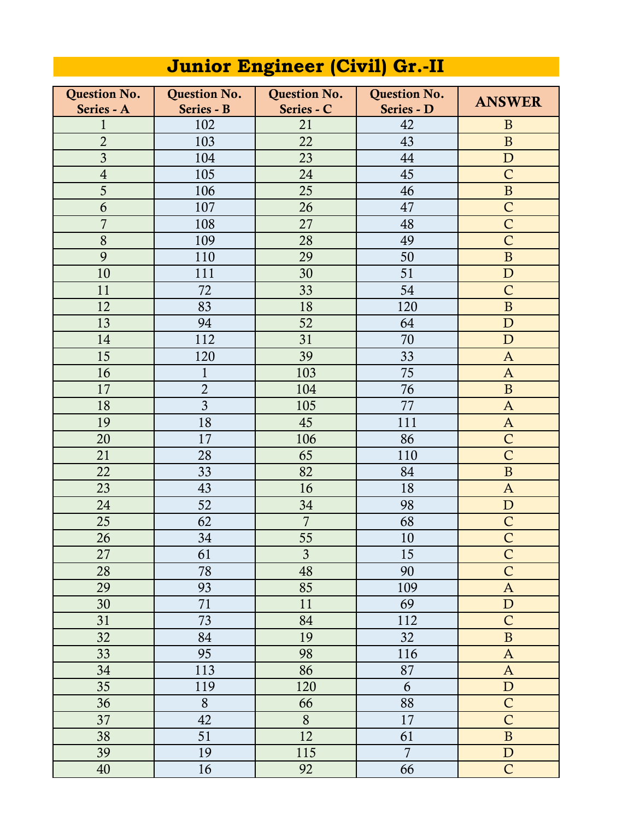| <b>Question No.</b> | <b>Question No.</b> | <b>Question No.</b> | <b>Question No.</b> |                  |
|---------------------|---------------------|---------------------|---------------------|------------------|
| Series - A          | Series - B          | Series - C          | Series - D          | <b>ANSWER</b>    |
| $\mathbf{1}$        | 102                 | 21                  | 42                  | $\mathbf{B}$     |
| $\overline{2}$      | 103                 | 22                  | 43                  | $\mathbf B$      |
| $\overline{3}$      | 104                 | 23                  | 44                  | $\mathbf D$      |
| $\sqrt{4}$          | 105                 | 24                  | 45                  | $\mathsf{C}$     |
| 5                   | 106                 | 25                  | 46                  | $\, {\bf B}$     |
| 6                   | 107                 | 26                  | 47                  | $\mathsf{C}$     |
| $\overline{7}$      | 108                 | 27                  | 48                  | $\mathsf{C}$     |
| 8                   | 109                 | 28                  | 49                  | $\mathsf{C}$     |
| 9                   | 110                 | 29                  | 50                  | $\, {\bf B}$     |
| 10                  | 111                 | 30                  | 51                  | $\mathbf D$      |
| 11                  | 72                  | 33                  | 54                  | $\mathsf{C}$     |
| 12                  | 83                  | 18                  | 120                 | $\, {\bf B}$     |
| 13                  | 94                  | 52                  | 64                  | $\mathbf{D}$     |
| 14                  | 112                 | 31                  | 70                  | $\mathbf D$      |
| 15                  | 120                 | 39                  | 33                  | $\mathbf{A}$     |
| 16                  | $\mathbf{1}$        | 103                 | 75                  | $\mathbf{A}$     |
| 17                  | $\overline{2}$      | 104                 | 76                  | $\mathbf{B}$     |
| 18                  | $\overline{3}$      | 105                 | 77                  | $\mathbf{A}$     |
| 19                  | 18                  | 45                  | 111                 | $\mathbf{A}$     |
| 20                  | 17                  | 106                 | 86                  | $\mathsf{C}$     |
| 21                  | 28                  | 65                  | 110                 | $\overline{C}$   |
| 22                  | 33                  | 82                  | 84                  | $\mathbf B$      |
| 23                  | 43                  | 16                  | 18                  | $\mathbf{A}$     |
| 24                  | 52                  | 34                  | 98                  | $\mathbf D$      |
| 25                  | 62                  | $\overline{7}$      | 68                  | $\mathsf{C}$     |
| 26                  | 34                  | 55                  | 10                  | $\mathsf{C}$     |
| 27                  | 61                  | $\mathfrak{Z}$      | 15                  | $\mathsf C$      |
| 28                  | 78                  | 48                  | 90                  | $\overline{C}$   |
| 29                  | 93                  | 85                  | 109                 | $\boldsymbol{A}$ |
| 30                  | 71                  | 11                  | 69                  | ${\bf D}$        |
| 31                  | 73                  | 84                  | 112                 | $\mathsf{C}$     |
| 32                  | 84                  | 19                  | 32                  | $\, {\bf B}$     |
| 33                  | 95                  | 98                  | 116                 | $\mathbf A$      |
| 34                  | 113                 | 86                  | 87                  | $\mathbf{A}$     |
| 35                  | 119                 | 120                 | 6                   | ${\bf D}$        |
| 36                  | 8                   | 66                  | 88                  | $\overline{C}$   |
| 37                  | 42                  | 8                   | 17                  | $\overline{C}$   |
| 38                  | 51                  | 12                  | 61                  | $\, {\bf B}$     |
| 39                  | 19                  | 115                 | $\overline{7}$      | $\mathbf D$      |
| 40                  | 16                  | 92                  | 66                  | $\mathsf{C}$     |

## **Junior Engineer (Civil) Gr.-II**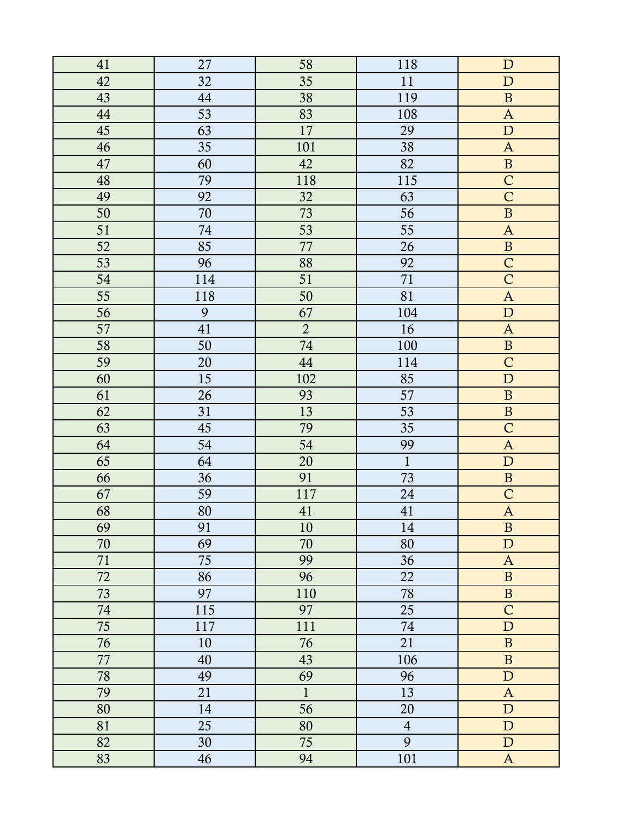| 41 | 27  | 58             | 118            | $\mathbf D$               |
|----|-----|----------------|----------------|---------------------------|
| 42 | 32  | 35             | 11             | ${\bf D}$                 |
| 43 | 44  | 38             | 119            | $\, {\bf B}$              |
| 44 | 53  | 83             | 108            | $\boldsymbol{\mathsf{A}}$ |
| 45 | 63  | 17             | 29             | ${\bf D}$                 |
| 46 | 35  | 101            | 38             | $\mathbf{A}$              |
| 47 | 60  | 42             | 82             | $\, {\bf B}$              |
| 48 | 79  | 118            | 115            | $\overline{C}$            |
| 49 | 92  | 32             | 63             | $\mathsf{C}$              |
| 50 | 70  | 73             | 56             | $\, {\bf B}$              |
| 51 | 74  | 53             | 55             | $\mathbf A$               |
| 52 | 85  | 77             | 26             | $\, {\bf B}$              |
| 53 | 96  | 88             | 92             | $\mathsf{C}$              |
| 54 | 114 | 51             | 71             | $\overline{C}$            |
| 55 | 118 | 50             | 81             | $\mathbf{A}$              |
| 56 | 9   | 67             | 104            | ${\bf D}$                 |
| 57 | 41  | $\overline{2}$ | 16             | $\mathbf{A}$              |
| 58 | 50  | 74             | 100            | $\, {\bf B}$              |
| 59 | 20  | 44             | 114            | $\mathsf{C}$              |
| 60 | 15  | 102            | 85             | ${\bf D}$                 |
| 61 | 26  | 93             | 57             | $\, {\bf B}$              |
| 62 | 31  | 13             | 53             | $\, {\bf B}$              |
| 63 | 45  | 79             | 35             | $\overline{C}$            |
| 64 | 54  | 54             | 99             | $\mathbf{A}$              |
| 65 | 64  | 20             | $\mathbf{1}$   | ${\bf D}$                 |
| 66 | 36  | 91             | 73             | $\, {\bf B}$              |
| 67 | 59  | 117            | 24             | $\mathsf{C}$              |
| 68 | 80  | 41             | 41             | $\boldsymbol{A}$          |
| 69 | 91  | 10             | 14             | $\, {\bf B}$              |
| 70 | 69  | 70             | 80             | ${\bf D}$                 |
| 71 | 75  | 99             | 36             | $\mathbf{A}$              |
| 72 | 86  | 96             | 22             | $\, {\bf B}$              |
| 73 | 97  | 110            | 78             | $\, {\bf B}$              |
| 74 | 115 | 97             | 25             | $\mathsf{C}$              |
| 75 | 117 | 111            | 74             | ${\bf D}$                 |
| 76 | 10  | 76             | 21             | $\, {\bf B}$              |
| 77 | 40  | 43             | 106            | $\, {\bf B}$              |
| 78 | 49  | 69             | 96             | ${\bf D}$                 |
| 79 | 21  | $\mathbf{1}$   | 13             | $\mathbf{A}$              |
| 80 | 14  | 56             | 20             | ${\bf D}$                 |
| 81 | 25  | 80             | $\overline{4}$ | ${\bf D}$                 |
| 82 | 30  | 75             | 9              | D                         |
| 83 | 46  | 94             | 101            | $\mathbf{A}$              |